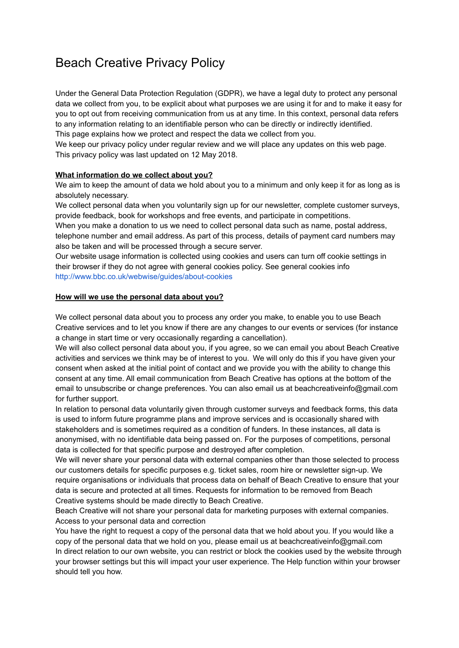# Beach Creative Privacy Policy

Under the General Data Protection Regulation (GDPR), we have a legal duty to protect any personal data we collect from you, to be explicit about what purposes we are using it for and to make it easy for you to opt out from receiving communication from us at any time. In this context, personal data refers to any information relating to an identifiable person who can be directly or indirectly identified. This page explains how we protect and respect the data we collect from you.

We keep our privacy policy under regular review and we will place any updates on this web page. This privacy policy was last updated on 12 May 2018.

## **What information do we collect about you?**

We aim to keep the amount of data we hold about you to a minimum and only keep it for as long as is absolutely necessary.

We collect personal data when you voluntarily sign up for our newsletter, complete customer surveys, provide feedback, book for workshops and free events, and participate in competitions.

When you make a donation to us we need to collect personal data such as name, postal address, telephone number and email address. As part of this process, details of payment card numbers may also be taken and will be processed through a secure server.

Our website usage information is collected using cookies and users can turn off cookie settings in their browser if they do not agree with general cookies policy. See general cookies info <http://www.bbc.co.uk/webwise/guides/about-cookies>

## **How will we use the personal data about you?**

We collect personal data about you to process any order you make, to enable you to use Beach Creative services and to let you know if there are any changes to our events or services (for instance a change in start time or very occasionally regarding a cancellation).

We will also collect personal data about you, if you agree, so we can email you about Beach Creative activities and services we think may be of interest to you. We will only do this if you have given your consent when asked at the initial point of contact and we provide you with the ability to change this consent at any time. All email communication from Beach Creative has options at the bottom of the email to unsubscribe or change preferences. You can also email us at beachcreativeinfo@gmail.com for further support.

In relation to personal data voluntarily given through customer surveys and feedback forms, this data is used to inform future programme plans and improve services and is occasionally shared with stakeholders and is sometimes required as a condition of funders. In these instances, all data is anonymised, with no identifiable data being passed on. For the purposes of competitions, personal data is collected for that specific purpose and destroyed after completion.

We will never share your personal data with external companies other than those selected to process our customers details for specific purposes e.g. ticket sales, room hire or newsletter sign-up. We require organisations or individuals that process data on behalf of Beach Creative to ensure that your data is secure and protected at all times. Requests for information to be removed from Beach Creative systems should be made directly to Beach Creative.

Beach Creative will not share your personal data for marketing purposes with external companies. Access to your personal data and correction

You have the right to request a copy of the personal data that we hold about you. If you would like a copy of the personal data that we hold on you, please email us at beachcreativeinfo@gmail.com In direct relation to our own website, you can restrict or block the cookies used by the website through your browser settings but this will impact your user experience. The Help function within your browser should tell you how.